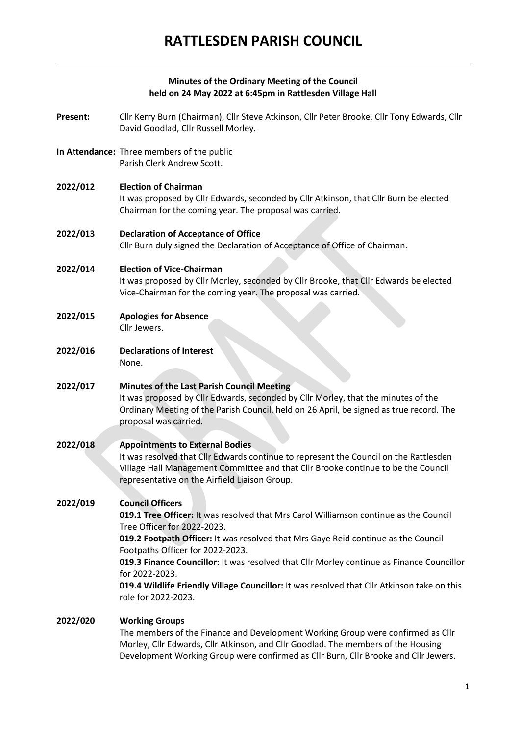### **Minutes of the Ordinary Meeting of the Council held on 24 May 2022 at 6:45pm in Rattlesden Village Hall**

- **Present:** Cllr Kerry Burn (Chairman), Cllr Steve Atkinson, Cllr Peter Brooke, Cllr Tony Edwards, Cllr David Goodlad, Cllr Russell Morley.
- **In Attendance:** Three members of the public Parish Clerk Andrew Scott.
- **2022/012 Election of Chairman** It was proposed by Cllr Edwards, seconded by Cllr Atkinson, that Cllr Burn be elected Chairman for the coming year. The proposal was carried.
- **2022/013 Declaration of Acceptance of Office** Cllr Burn duly signed the Declaration of Acceptance of Office of Chairman.

# **2022/014 Election of Vice-Chairman**

It was proposed by Cllr Morley, seconded by Cllr Brooke, that Cllr Edwards be elected Vice-Chairman for the coming year. The proposal was carried.

- **2022/015 Apologies for Absence** Cllr Jewers.
- **2022/016 Declarations of Interest** None.
- **2022/017 Minutes of the Last Parish Council Meeting** It was proposed by Cllr Edwards, seconded by Cllr Morley, that the minutes of the Ordinary Meeting of the Parish Council, held on 26 April, be signed as true record. The proposal was carried.
- **2022/018 Appointments to External Bodies** It was resolved that Cllr Edwards continue to represent the Council on the Rattlesden Village Hall Management Committee and that Cllr Brooke continue to be the Council representative on the Airfield Liaison Group.

## **2022/019 Council Officers**

**019.1 Tree Officer:** It was resolved that Mrs Carol Williamson continue as the Council Tree Officer for 2022-2023.

**019.2 Footpath Officer:** It was resolved that Mrs Gaye Reid continue as the Council Footpaths Officer for 2022-2023.

**019.3 Finance Councillor:** It was resolved that Cllr Morley continue as Finance Councillor for 2022-2023.

**019.4 Wildlife Friendly Village Councillor:** It was resolved that Cllr Atkinson take on this role for 2022-2023.

#### **2022/020 Working Groups**

The members of the Finance and Development Working Group were confirmed as Cllr Morley, Cllr Edwards, Cllr Atkinson, and Cllr Goodlad. The members of the Housing Development Working Group were confirmed as Cllr Burn, Cllr Brooke and Cllr Jewers.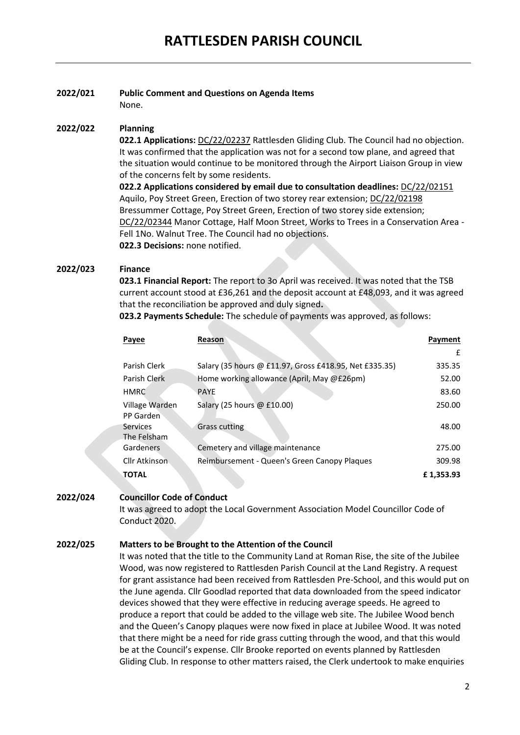# **2022/021 Public Comment and Questions on Agenda Items**

None.

### **2022/022 Planning**

**022.1 Applications:** DC/22/02237 Rattlesden Gliding Club. The Council had no objection. It was confirmed that the application was not for a second tow plane, and agreed that the situation would continue to be monitored through the Airport Liaison Group in view of the concerns felt by some residents.

**022.2 Applications considered by email due to consultation deadlines:** DC/22/02151 Aquilo, Poy Street Green, Erection of two storey rear extension; DC/22/02198 Bressummer Cottage, Poy Street Green, Erection of two storey side extension; DC/22/02344 Manor Cottage, Half Moon Street, Works to Trees in a Conservation Area - Fell 1No. Walnut Tree. The Council had no objections. **022.3 Decisions:** none notified.

## **2022/023 Finance**

**023.1 Financial Report:** The report to 3o April was received. It was noted that the TSB current account stood at £36,261 and the deposit account at £48,093, and it was agreed that the reconciliation be approved and duly signed**.**

**023.2 Payments Schedule:** The schedule of payments was approved, as follows:

| Reason                                                 | Payment   |
|--------------------------------------------------------|-----------|
|                                                        | £         |
| Salary (35 hours @ £11.97, Gross £418.95, Net £335.35) | 335.35    |
| Home working allowance (April, May @£26pm)             | 52.00     |
| <b>PAYE</b>                                            | 83.60     |
| Salary (25 hours $\omega$ £10.00)                      | 250.00    |
| <b>Grass cutting</b>                                   | 48.00     |
| Cemetery and village maintenance                       | 275.00    |
| Reimbursement - Queen's Green Canopy Plagues           | 309.98    |
|                                                        | £1,353.93 |
|                                                        |           |

## **2022/024 Councillor Code of Conduct**

It was agreed to adopt the Local Government Association Model Councillor Code of Conduct 2020.

## **2022/025 Matters to be Brought to the Attention of the Council**

It was noted that the title to the Community Land at Roman Rise, the site of the Jubilee Wood, was now registered to Rattlesden Parish Council at the Land Registry. A request for grant assistance had been received from Rattlesden Pre-School, and this would put on the June agenda. Cllr Goodlad reported that data downloaded from the speed indicator devices showed that they were effective in reducing average speeds. He agreed to produce a report that could be added to the village web site. The Jubilee Wood bench and the Queen's Canopy plaques were now fixed in place at Jubilee Wood. It was noted that there might be a need for ride grass cutting through the wood, and that this would be at the Council's expense. Cllr Brooke reported on events planned by Rattlesden Gliding Club. In response to other matters raised, the Clerk undertook to make enquiries